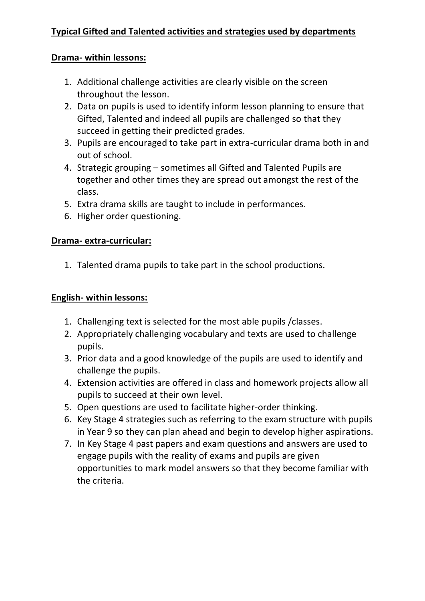### **Drama- within lessons:**

- 1. Additional challenge activities are clearly visible on the screen throughout the lesson.
- 2. Data on pupils is used to identify inform lesson planning to ensure that Gifted, Talented and indeed all pupils are challenged so that they succeed in getting their predicted grades.
- 3. Pupils are encouraged to take part in extra-curricular drama both in and out of school.
- 4. Strategic grouping sometimes all Gifted and Talented Pupils are together and other times they are spread out amongst the rest of the class.
- 5. Extra drama skills are taught to include in performances.
- 6. Higher order questioning.

### **Drama- extra-curricular:**

1. Talented drama pupils to take part in the school productions.

### **English- within lessons:**

- 1. Challenging text is selected for the most able pupils /classes.
- 2. Appropriately challenging vocabulary and texts are used to challenge pupils.
- 3. Prior data and a good knowledge of the pupils are used to identify and challenge the pupils.
- 4. Extension activities are offered in class and homework projects allow all pupils to succeed at their own level.
- 5. Open questions are used to facilitate higher-order thinking.
- 6. Key Stage 4 strategies such as referring to the exam structure with pupils in Year 9 so they can plan ahead and begin to develop higher aspirations.
- 7. In Key Stage 4 past papers and exam questions and answers are used to engage pupils with the reality of exams and pupils are given opportunities to mark model answers so that they become familiar with the criteria.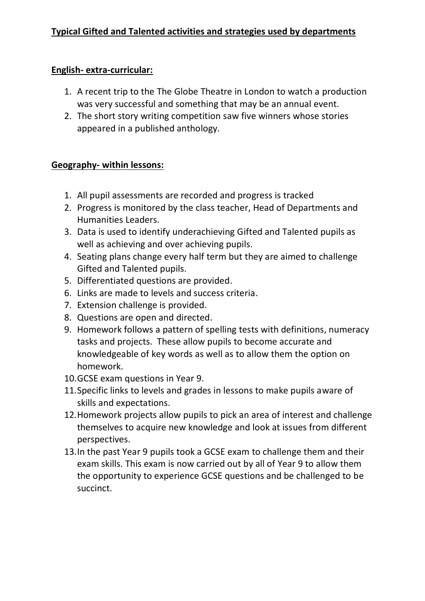# **English- extra-curricular:**

- 1. A recent trip to the The Globe Theatre in London to watch a production was very successful and something that may be an annual event.
- 2. The short story writing competition saw five winners whose stories appeared in a published anthology.

### **Geography- within lessons:**

- 1. All pupil assessments are recorded and progress is tracked
- 2. Progress is monitored by the class teacher, Head of Departments and Humanities Leaders.
- 3. Data is used to identify underachieving Gifted and Talented pupils as well as achieving and over achieving pupils.
- 4. Seating plans change every half term but they are aimed to challenge Gifted and Talented pupils.
- 5. Differentiated questions are provided.
- 6. Links are made to levels and success criteria.
- 7. Extension challenge is provided.
- 8. Questions are open and directed.
- 9. Homework follows a pattern of spelling tests with definitions, numeracy tasks and projects. These allow pupils to become accurate and knowledgeable of key words as well as to allow them the option on homework.
- 10.GCSE exam questions in Year 9.
- 11.Specific links to levels and grades in lessons to make pupils aware of skills and expectations.
- 12.Homework projects allow pupils to pick an area of interest and challenge themselves to acquire new knowledge and look at issues from different perspectives.
- 13.In the past Year 9 pupils took a GCSE exam to challenge them and their exam skills. This exam is now carried out by all of Year 9 to allow them the opportunity to experience GCSE questions and be challenged to be succinct.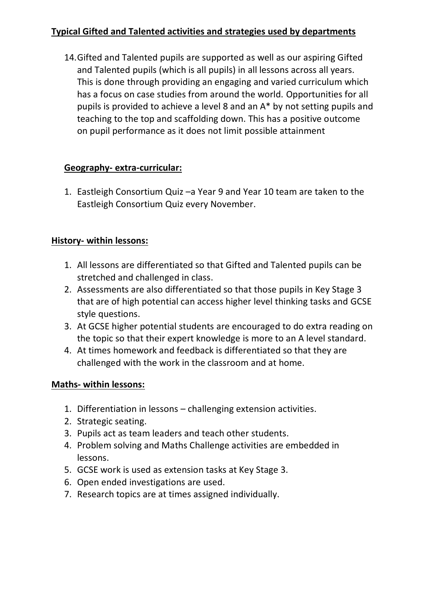14.Gifted and Talented pupils are supported as well as our aspiring Gifted and Talented pupils (which is all pupils) in all lessons across all years. This is done through providing an engaging and varied curriculum which has a focus on case studies from around the world. Opportunities for all pupils is provided to achieve a level 8 and an A\* by not setting pupils and teaching to the top and scaffolding down. This has a positive outcome on pupil performance as it does not limit possible attainment

# **Geography- extra-curricular:**

1. Eastleigh Consortium Quiz –a Year 9 and Year 10 team are taken to the Eastleigh Consortium Quiz every November.

# **History- within lessons:**

- 1. All lessons are differentiated so that Gifted and Talented pupils can be stretched and challenged in class.
- 2. Assessments are also differentiated so that those pupils in Key Stage 3 that are of high potential can access higher level thinking tasks and GCSE style questions.
- 3. At GCSE higher potential students are encouraged to do extra reading on the topic so that their expert knowledge is more to an A level standard.
- 4. At times homework and feedback is differentiated so that they are challenged with the work in the classroom and at home.

# **Maths- within lessons:**

- 1. Differentiation in lessons challenging extension activities.
- 2. Strategic seating.
- 3. Pupils act as team leaders and teach other students.
- 4. Problem solving and Maths Challenge activities are embedded in lessons.
- 5. GCSE work is used as extension tasks at Key Stage 3.
- 6. Open ended investigations are used.
- 7. Research topics are at times assigned individually.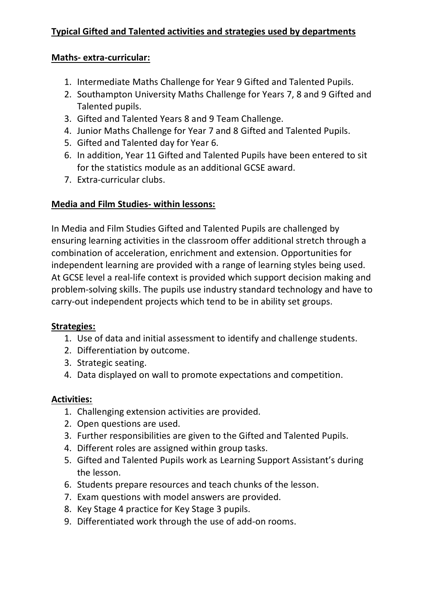### **Maths- extra-curricular:**

- 1. Intermediate Maths Challenge for Year 9 Gifted and Talented Pupils.
- 2. Southampton University Maths Challenge for Years 7, 8 and 9 Gifted and Talented pupils.
- 3. Gifted and Talented Years 8 and 9 Team Challenge.
- 4. Junior Maths Challenge for Year 7 and 8 Gifted and Talented Pupils.
- 5. Gifted and Talented day for Year 6.
- 6. In addition, Year 11 Gifted and Talented Pupils have been entered to sit for the statistics module as an additional GCSE award.
- 7. Extra-curricular clubs.

# **Media and Film Studies- within lessons:**

In Media and Film Studies Gifted and Talented Pupils are challenged by ensuring learning activities in the classroom offer additional stretch through a combination of acceleration, enrichment and extension. Opportunities for independent learning are provided with a range of learning styles being used. At GCSE level a real-life context is provided which support decision making and problem-solving skills. The pupils use industry standard technology and have to carry-out independent projects which tend to be in ability set groups.

# **Strategies:**

- 1. Use of data and initial assessment to identify and challenge students.
- 2. Differentiation by outcome.
- 3. Strategic seating.
- 4. Data displayed on wall to promote expectations and competition.

# **Activities:**

- 1. Challenging extension activities are provided.
- 2. Open questions are used.
- 3. Further responsibilities are given to the Gifted and Talented Pupils.
- 4. Different roles are assigned within group tasks.
- 5. Gifted and Talented Pupils work as Learning Support Assistant's during the lesson.
- 6. Students prepare resources and teach chunks of the lesson.
- 7. Exam questions with model answers are provided.
- 8. Key Stage 4 practice for Key Stage 3 pupils.
- 9. Differentiated work through the use of add-on rooms.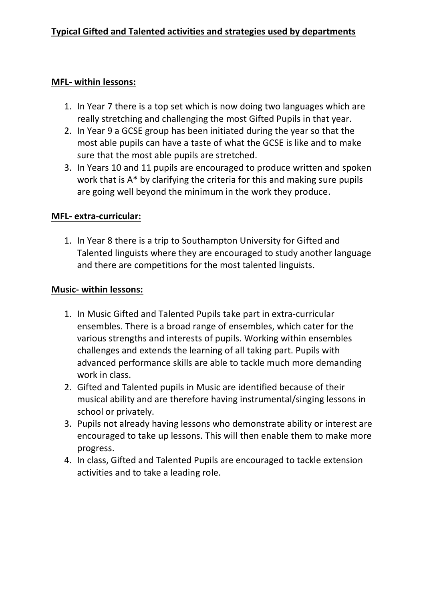#### **MFL- within lessons:**

- 1. In Year 7 there is a top set which is now doing two languages which are really stretching and challenging the most Gifted Pupils in that year.
- 2. In Year 9 a GCSE group has been initiated during the year so that the most able pupils can have a taste of what the GCSE is like and to make sure that the most able pupils are stretched.
- 3. In Years 10 and 11 pupils are encouraged to produce written and spoken work that is A\* by clarifying the criteria for this and making sure pupils are going well beyond the minimum in the work they produce.

#### **MFL- extra-curricular:**

1. In Year 8 there is a trip to Southampton University for Gifted and Talented linguists where they are encouraged to study another language and there are competitions for the most talented linguists.

#### **Music- within lessons:**

- 1. In Music Gifted and Talented Pupils take part in extra-curricular ensembles. There is a broad range of ensembles, which cater for the various strengths and interests of pupils. Working within ensembles challenges and extends the learning of all taking part. Pupils with advanced performance skills are able to tackle much more demanding work in class.
- 2. Gifted and Talented pupils in Music are identified because of their musical ability and are therefore having instrumental/singing lessons in school or privately.
- 3. Pupils not already having lessons who demonstrate ability or interest are encouraged to take up lessons. This will then enable them to make more progress.
- 4. In class, Gifted and Talented Pupils are encouraged to tackle extension activities and to take a leading role.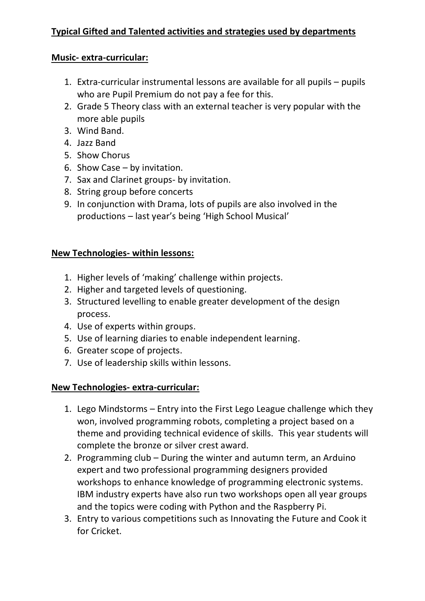### **Music- extra-curricular:**

- 1. Extra-curricular instrumental lessons are available for all pupils pupils who are Pupil Premium do not pay a fee for this.
- 2. Grade 5 Theory class with an external teacher is very popular with the more able pupils
- 3. Wind Band.
- 4. Jazz Band
- 5. Show Chorus
- 6. Show Case by invitation.
- 7. Sax and Clarinet groups- by invitation.
- 8. String group before concerts
- 9. In conjunction with Drama, lots of pupils are also involved in the productions – last year's being 'High School Musical'

# **New Technologies- within lessons:**

- 1. Higher levels of 'making' challenge within projects.
- 2. Higher and targeted levels of questioning.
- 3. Structured levelling to enable greater development of the design process.
- 4. Use of experts within groups.
- 5. Use of learning diaries to enable independent learning.
- 6. Greater scope of projects.
- 7. Use of leadership skills within lessons.

# **New Technologies- extra-curricular:**

- 1. Lego Mindstorms Entry into the First Lego League challenge which they won, involved programming robots, completing a project based on a theme and providing technical evidence of skills. This year students will complete the bronze or silver crest award.
- 2. Programming club During the winter and autumn term, an Arduino expert and two professional programming designers provided workshops to enhance knowledge of programming electronic systems. IBM industry experts have also run two workshops open all year groups and the topics were coding with Python and the Raspberry Pi.
- 3. Entry to various competitions such as Innovating the Future and Cook it for Cricket.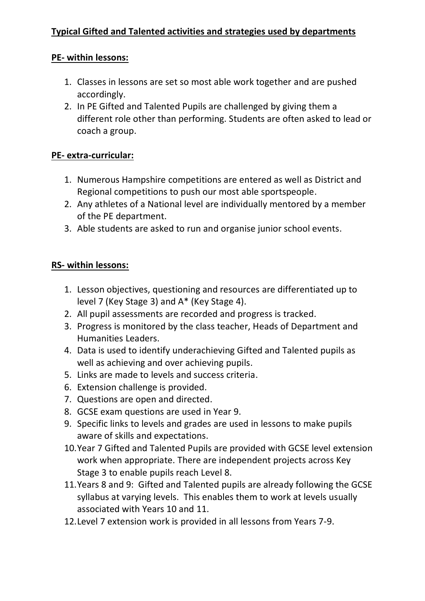# **PE- within lessons:**

- 1. Classes in lessons are set so most able work together and are pushed accordingly.
- 2. In PE Gifted and Talented Pupils are challenged by giving them a different role other than performing. Students are often asked to lead or coach a group.

# **PE- extra-curricular:**

- 1. Numerous Hampshire competitions are entered as well as District and Regional competitions to push our most able sportspeople.
- 2. Any athletes of a National level are individually mentored by a member of the PE department.
- 3. Able students are asked to run and organise junior school events.

# **RS- within lessons:**

- 1. Lesson objectives, questioning and resources are differentiated up to level 7 (Key Stage 3) and A\* (Key Stage 4).
- 2. All pupil assessments are recorded and progress is tracked.
- 3. Progress is monitored by the class teacher, Heads of Department and Humanities Leaders.
- 4. Data is used to identify underachieving Gifted and Talented pupils as well as achieving and over achieving pupils.
- 5. Links are made to levels and success criteria.
- 6. Extension challenge is provided.
- 7. Questions are open and directed.
- 8. GCSE exam questions are used in Year 9.
- 9. Specific links to levels and grades are used in lessons to make pupils aware of skills and expectations.
- 10.Year 7 Gifted and Talented Pupils are provided with GCSE level extension work when appropriate. There are independent projects across Key Stage 3 to enable pupils reach Level 8.
- 11.Years 8 and 9: Gifted and Talented pupils are already following the GCSE syllabus at varying levels. This enables them to work at levels usually associated with Years 10 and 11.
- 12.Level 7 extension work is provided in all lessons from Years 7-9.